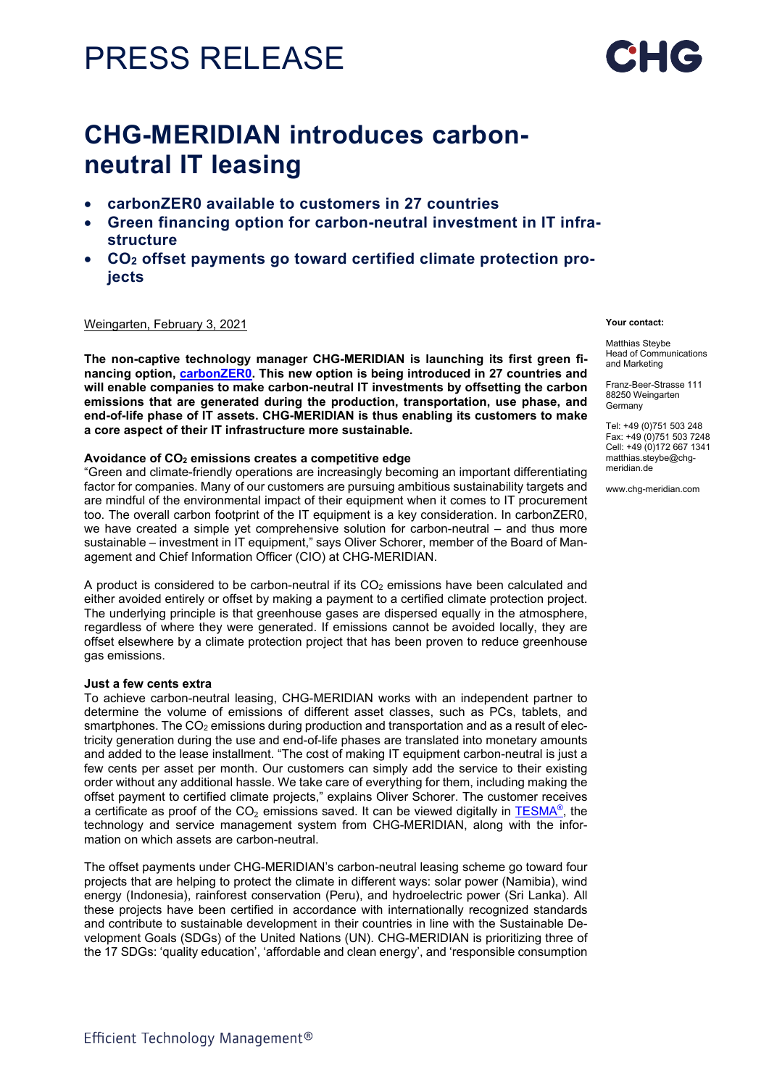# PRESS RELEASE



## **CHG-MERIDIAN introduces carbonneutral IT leasing**

- **carbonZER0 available to customers in 27 countries**
- **Green financing option for carbon-neutral investment in IT infrastructure**
- **CO2 offset payments go toward certified climate protection projects**

#### Weingarten, February 3, 2021

**The non-captive technology manager CHG-MERIDIAN is launching its first green financing option, [carbonZER0.](https://www.chg-meridian.com/discover-chg/carbonzero.html) This new option is being introduced in 27 countries and will enable companies to make carbon-neutral IT investments by offsetting the carbon emissions that are generated during the production, transportation, use phase, and end-of-life phase of IT assets. CHG-MERIDIAN is thus enabling its customers to make a core aspect of their IT infrastructure more sustainable.** 

#### **Avoidance of CO2 emissions creates a competitive edge**

"Green and climate-friendly operations are increasingly becoming an important differentiating factor for companies. Many of our customers are pursuing ambitious sustainability targets and are mindful of the environmental impact of their equipment when it comes to IT procurement too. The overall carbon footprint of the IT equipment is a key consideration. In carbonZER0, we have created a simple yet comprehensive solution for carbon-neutral – and thus more sustainable – investment in IT equipment," says Oliver Schorer, member of the Board of Management and Chief Information Officer (CIO) at CHG-MERIDIAN.

A product is considered to be carbon-neutral if its  $CO<sub>2</sub>$  emissions have been calculated and either avoided entirely or offset by making a payment to a certified climate protection project. The underlying principle is that greenhouse gases are dispersed equally in the atmosphere, regardless of where they were generated. If emissions cannot be avoided locally, they are offset elsewhere by a climate protection project that has been proven to reduce greenhouse gas emissions.

#### **Just a few cents extra**

To achieve carbon-neutral leasing, CHG-MERIDIAN works with an independent partner to determine the volume of emissions of different asset classes, such as PCs, tablets, and smartphones. The  $CO<sub>2</sub>$  emissions during production and transportation and as a result of electricity generation during the use and end-of-life phases are translated into monetary amounts and added to the lease installment. "The cost of making IT equipment carbon-neutral is just a few cents per asset per month. Our customers can simply add the service to their existing order without any additional hassle. We take care of everything for them, including making the offset payment to certified climate projects," explains Oliver Schorer. The customer receives a certificate as proof of the  $CO<sub>2</sub>$  emissions saved. It can be viewed digitally in TESMA<sup>®</sup>, the technology and service management system from CHG-MERIDIAN, along with the information on which assets are carbon-neutral.

The offset payments under CHG-MERIDIAN's carbon-neutral leasing scheme go toward four projects that are helping to protect the climate in different ways: solar power (Namibia), wind energy (Indonesia), rainforest conservation (Peru), and hydroelectric power (Sri Lanka). All these projects have been certified in accordance with internationally recognized standards and contribute to sustainable development in their countries in line with the Sustainable Development Goals (SDGs) of the United Nations (UN). CHG-MERIDIAN is prioritizing three of the 17 SDGs: 'quality education', 'affordable and clean energy', and 'responsible consumption

#### **Your contact:**

Matthias Steybe Head of Communications and Marketing

Franz-Beer-Strasse 111 88250 Weingarten Germany

Tel: +49 (0)751 503 248 Fax: +49 (0)751 503 7248 Cell: +49 (0)172 667 1341 matthias.steybe@chgmeridian.de

www.chg-meridian.com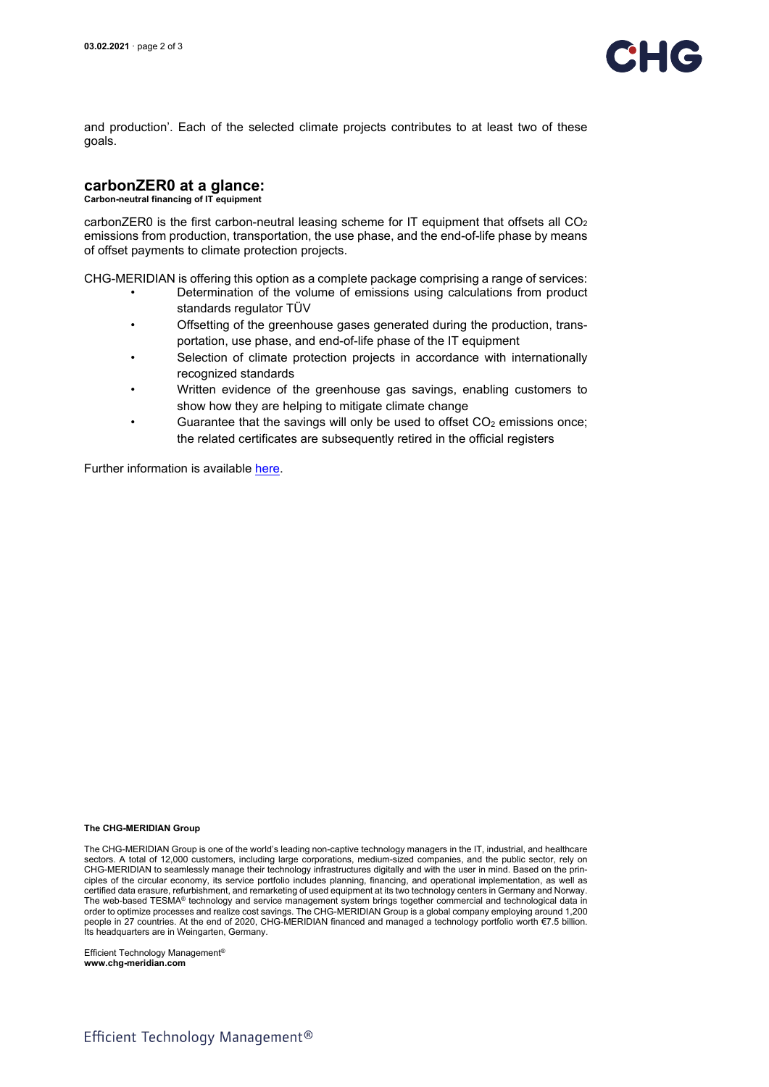

and production'. Each of the selected climate projects contributes to at least two of these goals.

### **carbonZER0 at a glance:**

**Carbon-neutral financing of IT equipment**

carbonZER0 is the first carbon-neutral leasing scheme for IT equipment that offsets all  $CO<sub>2</sub>$ emissions from production, transportation, the use phase, and the end-of-life phase by means of offset payments to climate protection projects.

CHG-MERIDIAN is offering this option as a complete package comprising a range of services:

- Determination of the volume of emissions using calculations from product standards regulator TÜV
- Offsetting of the greenhouse gases generated during the production, transportation, use phase, and end-of-life phase of the IT equipment
- Selection of climate protection projects in accordance with internationally recognized standards
- Written evidence of the greenhouse gas savings, enabling customers to show how they are helping to mitigate climate change
- Guarantee that the savings will only be used to offset  $CO<sub>2</sub>$  emissions once; the related certificates are subsequently retired in the official registers

Further information is availabl[e here.](https://www.chg-meridian.com/discover-chg/carbonzero.html)

#### **The CHG-MERIDIAN Group**

The CHG-MERIDIAN Group is one of the world's leading non-captive technology managers in the IT, industrial, and healthcare sectors. A total of 12,000 customers, including large corporations, medium-sized companies, and the public sector, rely on CHG-MERIDIAN to seamlessly manage their technology infrastructures digitally and with the user in mind. Based on the principles of the circular economy, its service portfolio includes planning, financing, and operational implementation, as well as certified data erasure, refurbishment, and remarketing of used equipment at its two technology centers in Germany and Norway. The web-based TESMA® technology and service management system brings together commercial and technological data in order to optimize processes and realize cost savings. The CHG-MERIDIAN Group is a global company employing around 1,200 people in 27 countries. At the end of 2020, CHG-MERIDIAN financed and managed a technology portfolio worth €7.5 billion. Its headquarters are in Weingarten, Germany.

Efficient Technology Management<sup>®</sup> **www.chg-meridian.com**